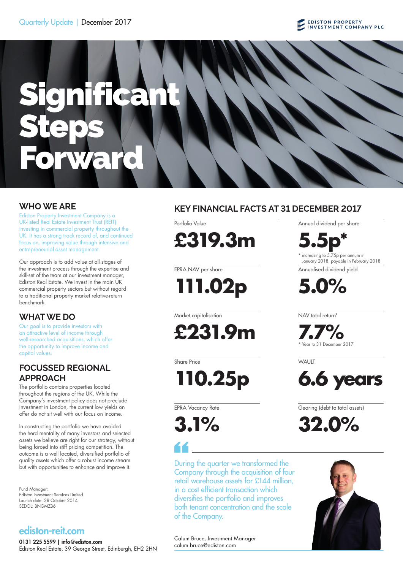## Quarterly Update | December 2017

## **EDISTON PROPERTY**<br>INVESTMENT COMPANY PLC

# Significan Steps Ward

Ediston Property Investment Company is a UK-listed Real Estate Investment Trust (REIT) investing in commercial property throughout the UK. It has a strong track record of, and continued focus on, improving value through intensive and entrepreneurial asset management.

Our approach is to add value at all stages of the investment process through the expertise and skill-set of the team at our investment manager, Ediston Real Estate. We invest in the main UK commercial property sectors but without regard to a traditional property market relative-return benchmark.

## **WHAT WE DO**

Our goal is to provide investors with an attractive level of income through well-researched acquisitions, which offer the opportunity to improve income and capital values.

## **FOCUSSED REGIONAL APPROACH**

The portfolio contains properties located throughout the regions of the UK. While the Company's investment policy does not preclude investment in London, the current low yields on offer do not sit well with our focus on income.

In constructing the portfolio we have avoided the herd mentality of many investors and selected assets we believe are right for our strategy, without being forced into stiff pricing competition. The outcome is a well located, diversified portfolio of quality assets which offer a robust income stream but with opportunities to enhance and improve it.

Fund Manager: Ediston Investment Services Limited Launch date: 28 October 2014 SEDOL: BNGMZB6

## ediston-reit.com

0131 225 5599 | info@ediston.com Ediston Real Estate, 39 George Street, Edinburgh, EH2 2HN

## **WHO WE ARE KEY FINANCIAL FACTS AT 31 DECEMBER 2017**

Portfolio Value **£319.3m**

EPRA NAV per share

**111.02p**

Market capitalisation

**£231.9m**

Share Price

**110.25p**

EPRA Vacancy Rate

**3.1%**

During the quarter we transformed the Company through the acquisition of four retail warehouse assets for £144 million, in a cost efficient transaction which diversifies the portfolio and improves both tenant concentration and the scale of the Company.

Annual dividend per share

**5.5p\*** \* increasing to 5.75p per annum in January 2018, payable in February 2018

Annualised dividend yield

**5.0%**

NAV total return\*

**7.7%** Year to 31 December 2017

**WAUIT** 



Gearing (debt to total assets)

**32.0%**



Calum Bruce, Investment Manager calum.bruce@ediston.com